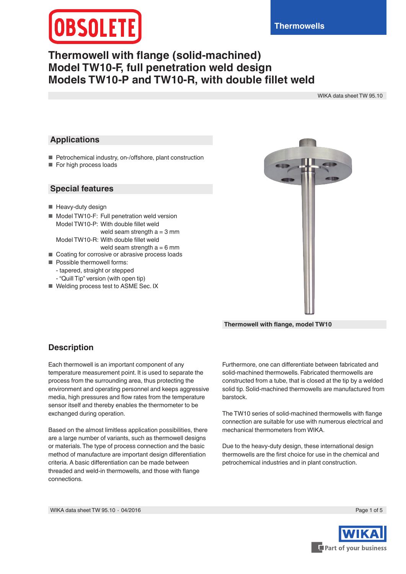# **Thermowell with flange (solid-machined) Model TW10-F, full penetration weld design Models TW10-P and TW10-R, with double fillet weld**

WIKA data sheet TW 95.10

#### **Applications**

- Petrochemical industry, on-/offshore, plant construction
- For high process loads

#### **Special features**

- Heavy-duty design
- Model TW10-F: Full penetration weld version Model TW10-P: With double fillet weld weld seam strength  $a = 3$  mm Model TW10-R: With double fillet weld
- weld seam strength  $a = 6$  mm ■ Coating for corrosive or abrasive process loads
- Possible thermowell forms:
- tapered, straight or stepped
	- "Quill Tip" version (with open tip)
- Welding process test to ASME Sec. IX



**Thermowell with flange, model TW10**

### **Description**

Each thermowell is an important component of any temperature measurement point. It is used to separate the process from the surrounding area, thus protecting the environment and operating personnel and keeps aggressive media, high pressures and flow rates from the temperature sensor itself and thereby enables the thermometer to be exchanged during operation.

Based on the almost limitless application possibilities, there are a large number of variants, such as thermowell designs or materials. The type of process connection and the basic method of manufacture are important design differentiation criteria. A basic differentiation can be made between threaded and weld-in thermowells, and those with flange connections.

Furthermore, one can differentiate between fabricated and solid-machined thermowells. Fabricated thermowells are constructed from a tube, that is closed at the tip by a welded solid tip. Solid-machined thermowells are manufactured from barstock.

The TW10 series of solid-machined thermowells with flange connection are suitable for use with numerous electrical and mechanical thermometers from WIKA.

Due to the heavy-duty design, these international design thermowells are the first choice for use in the chemical and petrochemical industries and in plant construction.



Part of your business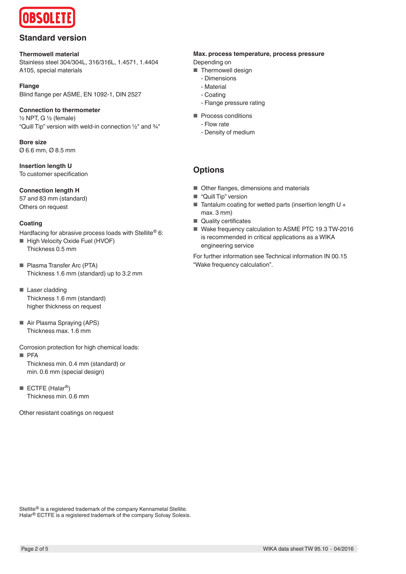

### **Standard version**

**Thermowell material** Stainless steel 304/304L, 316/316L, 1.4571, 1.4404 A105, special materials

**Flange** Blind flange per ASME, EN 1092-1, DIN 2527

**Connection to thermometer**  ½ NPT, G ½ (female) "Quill Tip" version with weld-in connection ½" and ¾"

**Bore size** Ø 6.6 mm, Ø 8.5 mm

**Insertion length U** To customer specification

**Connection length H**

57 and 83 mm (standard) Others on request

#### **Coating**

Hardfacing for abrasive process loads with Stellite® 6:

- High Velocity Oxide Fuel (HVOF) Thickness 0.5 mm
- Plasma Transfer Arc (PTA) Thickness 1.6 mm (standard) up to 3.2 mm
- Laser cladding Thickness 1.6 mm (standard) higher thickness on request
- Air Plasma Spraying (APS) Thickness max. 1.6 mm

Corrosion protection for high chemical loads:

■ PFA

Thickness min. 0.4 mm (standard) or min. 0.6 mm (special design)

 $\blacksquare$  ECTFE (Halar<sup>®</sup>) Thickness min. 0.6 mm

Other resistant coatings on request

#### **Max. process temperature, process pressure**

Depending on

- Thermowell design
	- Dimensions
	- Material - Coating
	- Flange pressure rating
- Process conditions
	- Flow rate
	- Density of medium

## **Options**

- Other flanges, dimensions and materials
- "Quill Tip" version
- Tantalum coating for wetted parts (insertion length U + max. 3 mm)
- Quality certificates
- Wake frequency calculation to ASME PTC 19.3 TW-2016 is recommended in critical applications as a WIKA engineering service

For further information see Technical information IN 00.15 "Wake frequency calculation".

Stellite® is a registered trademark of the company Kennametal Stellite. Halar<sup>®</sup> ECTFE is a registered trademark of the company Solvay Solexis.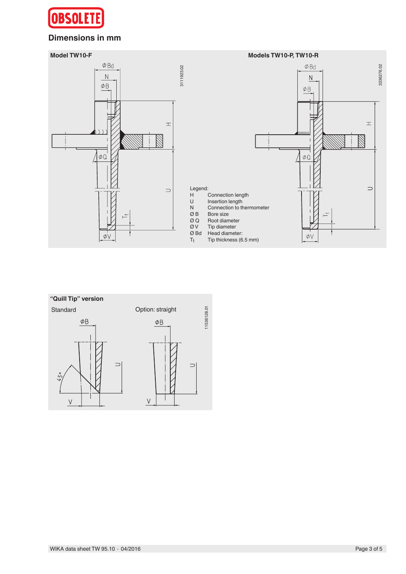

### **Dimensions in mm**



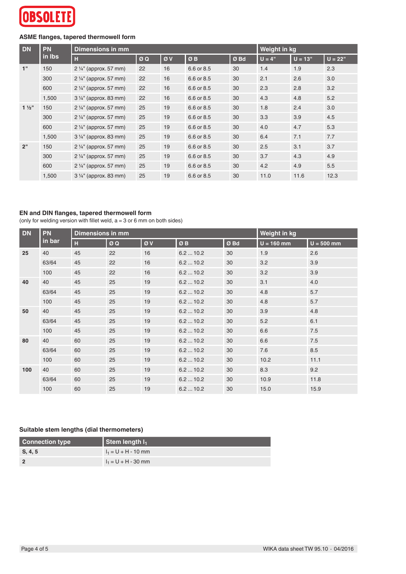

### **ASME flanges, tapered thermowell form**

| <b>DN</b>        | <b>PN</b><br>in Ibs | Dimensions in mm                 |    |    |            |      | Weight in kg |           |           |
|------------------|---------------------|----------------------------------|----|----|------------|------|--------------|-----------|-----------|
|                  |                     | н                                | ØQ | ØV | ØB         | Ø Bd | $U = 4"$     | $U = 13"$ | $U = 22"$ |
| 1"               | 150                 | $2\frac{1}{4}$ " (approx. 57 mm) | 22 | 16 | 6.6 or 8.5 | 30   | 1.4          | 1.9       | 2.3       |
|                  | 300                 | $2\frac{1}{4}$ " (approx. 57 mm) | 22 | 16 | 6.6 or 8.5 | 30   | 2.1          | 2.6       | 3.0       |
|                  | 600                 | $2\frac{1}{4}$ " (approx. 57 mm) | 22 | 16 | 6.6 or 8.5 | 30   | 2.3          | 2.8       | 3.2       |
|                  | 1,500               | $3\frac{1}{4}$ " (approx. 83 mm) | 22 | 16 | 6.6 or 8.5 | 30   | 4.3          | 4.8       | 5.2       |
| $1\frac{1}{2}$ " | 150                 | 2 1/4" (approx. 57 mm)           | 25 | 19 | 6.6 or 8.5 | 30   | 1.8          | 2.4       | 3.0       |
|                  | 300                 | $2\frac{1}{4}$ " (approx. 57 mm) | 25 | 19 | 6.6 or 8.5 | 30   | 3.3          | 3.9       | 4.5       |
|                  | 600                 | $2\frac{1}{4}$ " (approx. 57 mm) | 25 | 19 | 6.6 or 8.5 | 30   | 4.0          | 4.7       | 5.3       |
|                  | 1,500               | $3\frac{1}{4}$ " (approx. 83 mm) | 25 | 19 | 6.6 or 8.5 | 30   | 6.4          | 7.1       | 7.7       |
| 2"               | 150                 | $2\frac{1}{4}$ " (approx. 57 mm) | 25 | 19 | 6.6 or 8.5 | 30   | 2.5          | 3.1       | 3.7       |
|                  | 300                 | $2\frac{1}{4}$ " (approx. 57 mm) | 25 | 19 | 6.6 or 8.5 | 30   | 3.7          | 4.3       | 4.9       |
|                  | 600                 | $2\frac{1}{4}$ " (approx. 57 mm) | 25 | 19 | 6.6 or 8.5 | 30   | 4.2          | 4.9       | 5.5       |
|                  | 1,500               | 3 1/4" (approx. 83 mm)           | 25 | 19 | 6.6 or 8.5 | 30   | 11.0         | 11.6      | 12.3      |

#### **EN and DIN flanges, tapered thermowell form**

(only for welding version with fillet weld,  $a = 3$  or 6 mm on both sides)

| <b>DN</b> | <b>PN</b><br>in bar | <b>Dimensions in mm</b> |    | Weight in kg |         |     |              |              |
|-----------|---------------------|-------------------------|----|--------------|---------|-----|--------------|--------------|
|           |                     | H                       | ØQ | ØV           | ØB      | ØBd | $U = 160$ mm | $U = 500$ mm |
| 25        | 40                  | 45                      | 22 | 16           | 6.210.2 | 30  | 1.9          | 2.6          |
|           | 63/64               | 45                      | 22 | 16           | 6.210.2 | 30  | 3.2          | 3.9          |
|           | 100                 | 45                      | 22 | 16           | 6.210.2 | 30  | 3.2          | 3.9          |
| 40        | 40                  | 45                      | 25 | 19           | 6.210.2 | 30  | 3.1          | 4.0          |
|           | 63/64               | 45                      | 25 | 19           | 6.210.2 | 30  | 4.8          | 5.7          |
|           | 100                 | 45                      | 25 | 19           | 6.210.2 | 30  | 4.8          | 5.7          |
| 50        | 40                  | 45                      | 25 | 19           | 6.210.2 | 30  | 3.9          | 4.8          |
|           | 63/64               | 45                      | 25 | 19           | 6.210.2 | 30  | 5.2          | 6.1          |
|           | 100                 | 45                      | 25 | 19           | 6.210.2 | 30  | 6.6          | 7.5          |
| 80        | 40                  | 60                      | 25 | 19           | 6.210.2 | 30  | 6.6          | 7.5          |
|           | 63/64               | 60                      | 25 | 19           | 6.210.2 | 30  | 7.6          | 8.5          |
|           | 100                 | 60                      | 25 | 19           | 6.210.2 | 30  | 10.2         | 11.1         |
| 100       | 40                  | 60                      | 25 | 19           | 6.210.2 | 30  | 8.3          | 9.2          |
|           | 63/64               | 60                      | 25 | 19           | 6.210.2 | 30  | 10.9         | 11.8         |
|           | 100                 | 60                      | 25 | 19           | 6.210.2 | 30  | 15.0         | 15.9         |

#### **Suitable stem lengths (dial thermometers)**

| <b>Connection type</b> | Stem length $I_1$     |
|------------------------|-----------------------|
| S, 4, 5                | $I_1 = U + H - 10$ mm |
|                        | $I_1 = U + H - 30$ mm |